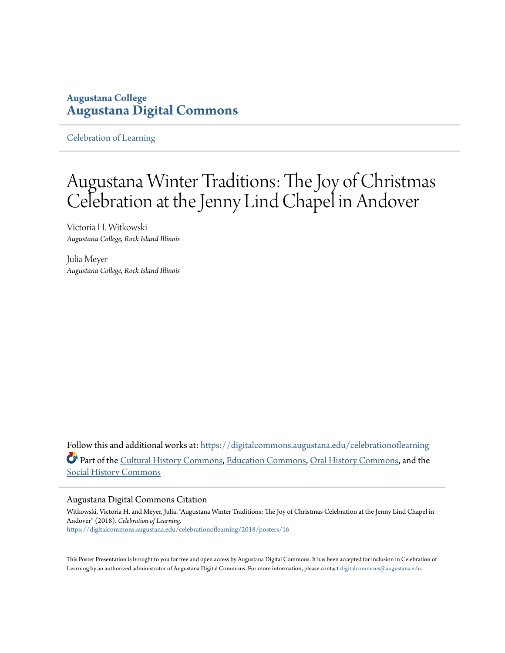### **Augustana College [Augustana Digital Commons](https://digitalcommons.augustana.edu?utm_source=digitalcommons.augustana.edu%2Fcelebrationoflearning%2F2018%2Fposters%2F16&utm_medium=PDF&utm_campaign=PDFCoverPages)**

[Celebration of Learning](https://digitalcommons.augustana.edu/celebrationoflearning?utm_source=digitalcommons.augustana.edu%2Fcelebrationoflearning%2F2018%2Fposters%2F16&utm_medium=PDF&utm_campaign=PDFCoverPages)

### Augustana Winter Traditions: The Joy of Christmas Celebration at the Jenny Lind Chapel in Andover

Victoria H. Witkowski *Augustana College, Rock Island Illinois*

Julia Meyer *Augustana College, Rock Island Illinois*

Follow this and additional works at: [https://digitalcommons.augustana.edu/celebrationoflearning](https://digitalcommons.augustana.edu/celebrationoflearning?utm_source=digitalcommons.augustana.edu%2Fcelebrationoflearning%2F2018%2Fposters%2F16&utm_medium=PDF&utm_campaign=PDFCoverPages) Part of the [Cultural History Commons,](http://network.bepress.com/hgg/discipline/496?utm_source=digitalcommons.augustana.edu%2Fcelebrationoflearning%2F2018%2Fposters%2F16&utm_medium=PDF&utm_campaign=PDFCoverPages) [Education Commons](http://network.bepress.com/hgg/discipline/784?utm_source=digitalcommons.augustana.edu%2Fcelebrationoflearning%2F2018%2Fposters%2F16&utm_medium=PDF&utm_campaign=PDFCoverPages), [Oral History Commons](http://network.bepress.com/hgg/discipline/1195?utm_source=digitalcommons.augustana.edu%2Fcelebrationoflearning%2F2018%2Fposters%2F16&utm_medium=PDF&utm_campaign=PDFCoverPages), and the [Social History Commons](http://network.bepress.com/hgg/discipline/506?utm_source=digitalcommons.augustana.edu%2Fcelebrationoflearning%2F2018%2Fposters%2F16&utm_medium=PDF&utm_campaign=PDFCoverPages)

### Augustana Digital Commons Citation

Witkowski, Victoria H. and Meyer, Julia. "Augustana Winter Traditions: The Joy of Christmas Celebration at the Jenny Lind Chapel in Andover" (2018). *Celebration of Learning.* [https://digitalcommons.augustana.edu/celebrationoflearning/2018/posters/16](https://digitalcommons.augustana.edu/celebrationoflearning/2018/posters/16?utm_source=digitalcommons.augustana.edu%2Fcelebrationoflearning%2F2018%2Fposters%2F16&utm_medium=PDF&utm_campaign=PDFCoverPages)

This Poster Presentation is brought to you for free and open access by Augustana Digital Commons. It has been accepted for inclusion in Celebration of Learning by an authorized administrator of Augustana Digital Commons. For more information, please contact [digitalcommons@augustana.edu.](mailto:digitalcommons@augustana.edu)